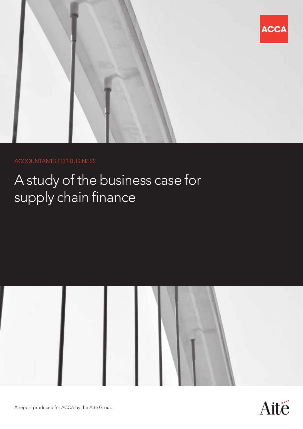

### ACCOUNTANTS FOR BUSINESS

# A study of the business case for supply chain finance



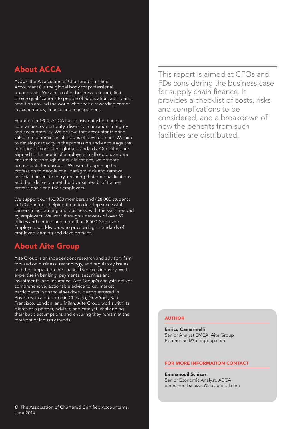### About ACCA

ACCA (the Association of Chartered Certified Accountants) is the global body for professional accountants. We aim to offer business-relevant, firstchoice qualifications to people of application, ability and ambition around the world who seek a rewarding career in accountancy, finance and management.

Founded in 1904, ACCA has consistently held unique core values: opportunity, diversity, innovation, integrity and accountability. We believe that accountants bring value to economies in all stages of development. We aim to develop capacity in the profession and encourage the adoption of consistent global standards. Our values are aligned to the needs of employers in all sectors and we ensure that, through our qualifications, we prepare accountants for business. We work to open up the profession to people of all backgrounds and remove artificial barriers to entry, ensuring that our qualifications and their delivery meet the diverse needs of trainee professionals and their employers.

We support our 162,000 members and 428,000 students in 170 countries, helping them to develop successful careers in accounting and business, with the skills needed by employers. We work through a network of over 89 offices and centres and more than 8,500 Approved Employers worldwide, who provide high standards of employee learning and development.

### About Aite Group

Aite Group is an independent research and advisory firm focused on business, technology, and regulatory issues and their impact on the financial services industry. With expertise in banking, payments, securities and investments, and insurance, Aite Group's analysts deliver comprehensive, actionable advice to key market participants in financial services. Headquartered in Boston with a presence in Chicago, New York, San Francisco, London, and Milan, Aite Group works with its clients as a partner, adviser, and catalyst, challenging their basic assumptions and ensuring they remain at the forefront of industry trends.

This report is aimed at CFOs and FDs considering the business case for supply chain finance. It provides a checklist of costs, risks and complications to be considered, and a breakdown of how the benefits from such facilities are distributed.

#### AUTHOR

Enrico Camerinelli Senior Analyst EMEA, Aite Group ECamerinelli@aitegroup.com

#### FOR MORE INFORMATION CONTACT

Emmanouil Schizas Senior Economic Analyst, ACCA emmanouil.schizas@accaglobal.com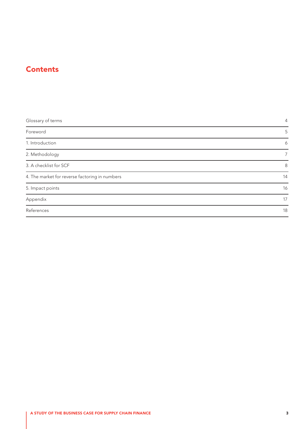### **Contents**

| Glossary of terms                              | 4  |
|------------------------------------------------|----|
| Foreword                                       | 5  |
| 1. Introduction                                | 6  |
| 2. Methodology                                 |    |
| 3. A checklist for SCF                         | 8  |
| 4. The market for reverse factoring in numbers | 14 |
| 5. Impact points                               | 16 |
| Appendix                                       | 17 |
| References                                     | 18 |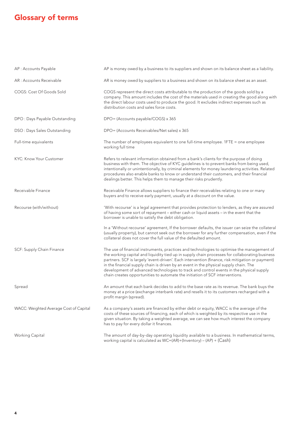## <span id="page-3-0"></span>Glossary of terms

| AP : Accounts Payable                  | AP is money owed by a business to its suppliers and shown on its balance sheet as a liability.                                                                                                                                                                                                                                                                                                                                                                                                                                                                       |
|----------------------------------------|----------------------------------------------------------------------------------------------------------------------------------------------------------------------------------------------------------------------------------------------------------------------------------------------------------------------------------------------------------------------------------------------------------------------------------------------------------------------------------------------------------------------------------------------------------------------|
| AR : Accounts Receivable               | AR is money owed by suppliers to a business and shown on its balance sheet as an asset.                                                                                                                                                                                                                                                                                                                                                                                                                                                                              |
| COGS: Cost Of Goods Sold               | COGS represent the direct costs attributable to the production of the goods sold by a<br>company. This amount includes the cost of the materials used in creating the good along with<br>the direct labour costs used to produce the good. It excludes indirect expenses such as<br>distribution costs and sales force costs.                                                                                                                                                                                                                                        |
| DPO: Days Payable Outstanding          | DPO= (Accounts payable/COGS) x 365                                                                                                                                                                                                                                                                                                                                                                                                                                                                                                                                   |
| DSO: Days Sales Outstanding            | DPO= (Accounts Receivables/Net sales) x 365                                                                                                                                                                                                                                                                                                                                                                                                                                                                                                                          |
| Full-time equivalents                  | The number of employees equivalent to one full-time employee. 1FTE = one employee<br>working full time                                                                                                                                                                                                                                                                                                                                                                                                                                                               |
| KYC: Know Your Customer                | Refers to relevant information obtained from a bank's clients for the purpose of doing<br>business with them. The objective of KYC guidelines is to prevent banks from being used,<br>intentionally or unintentionally, by criminal elements for money laundering activities. Related<br>procedures also enable banks to know or understand their customers, and their financial<br>dealings better. This helps them to manage their risks prudently.                                                                                                                |
| Receivable Finance                     | Receivable Finance allows suppliers to finance their receivables relating to one or many<br>buyers and to receive early payment, usually at a discount on the value.                                                                                                                                                                                                                                                                                                                                                                                                 |
| Recourse (with/without)                | 'With recourse' is a legal agreement that provides protection to lenders, as they are assured<br>of having some sort of repayment - either cash or liquid assets - in the event that the<br>borrower is unable to satisfy the debt obligation.                                                                                                                                                                                                                                                                                                                       |
|                                        | In a 'Without recourse' agreement, If the borrower defaults, the issuer can seize the collateral<br>(usually property), but cannot seek out the borrower for any further compensation, even if the<br>collateral does not cover the full value of the defaulted amount.                                                                                                                                                                                                                                                                                              |
| SCF: Supply Chain Finance              | The use of financial instruments, practices and technologies to optimise the management of<br>the working capital and liquidity tied up in supply chain processes for collaborating business<br>partners. SCF is largely 'event-driven'. Each intervention (finance, risk mitigation or payment)<br>in the financial supply chain is driven by an event in the physical supply chain. The<br>development of advanced technologies to track and control events in the physical supply<br>chain creates opportunities to automate the initiation of SCF interventions. |
| Spread                                 | An amount that each bank decides to add to the base rate as its revenue. The bank buys the<br>money at a price (exchange interbank rate) and resells it to its customers recharged with a<br>profit margin (spread).                                                                                                                                                                                                                                                                                                                                                 |
| WACC: Weighted Average Cost of Capital | As a company's assets are financed by either debt or equity, WACC is the average of the<br>costs of these sources of financing, each of which is weighted by its respective use in the<br>given situation. By taking a weighted average, we can see how much interest the company<br>has to pay for every dollar it finances.                                                                                                                                                                                                                                        |
| Working Capital                        | The amount of day-by-day operating liquidity available to a business. In mathematical terms,<br>working capital is calculated as WC=(AR)+(Inventory) - (AP) + (Cash)                                                                                                                                                                                                                                                                                                                                                                                                 |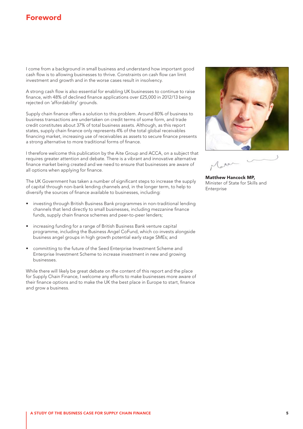### <span id="page-4-0"></span>Foreword

I come from a background in small business and understand how important good cash flow is to allowing businesses to thrive. Constraints on cash flow can limit investment and growth and in the worse cases result in insolvency.

A strong cash flow is also essential for enabling UK businesses to continue to raise finance, with 48% of declined finance applications over £25,000 in 2012/13 being rejected on 'affordability' grounds.

Supply chain finance offers a solution to this problem. Around 80% of business to business transactions are undertaken on credit terms of some form, and trade credit constitutes about 37% of total business assets. Although, as this report states, supply chain finance only represents 4% of the total global receivables financing market, increasing use of receivables as assets to secure finance presents a strong alternative to more traditional forms of finance.

I therefore welcome this publication by the Aite Group and ACCA, on a subject that requires greater attention and debate. There is a vibrant and innovative alternative finance market being created and we need to ensure that businesses are aware of all options when applying for finance.

The UK Government has taken a number of significant steps to increase the supply of capital through non-bank lending channels and, in the longer term, to help to diversify the sources of finance available to businesses, including:

- investing through British Business Bank programmes in non-traditional lending channels that lend directly to small businesses, including mezzanine finance funds, supply chain finance schemes and peer-to-peer lenders;
- increasing funding for a range of British Business Bank venture capital programme, including the Business Angel CoFund, which co-invests alongside business angel groups in high growth potential early stage SMEs; and
- committing to the future of the Seed Enterprise Investment Scheme and Enterprise Investment Scheme to increase investment in new and growing businesses.

While there will likely be great debate on the content of this report and the place for Supply Chain Finance, I welcome any efforts to make businesses more aware of their finance options and to make the UK the best place in Europe to start, finance and grow a business.



Matthew Hancock MP, Minister of State for Skills and **Enterprise**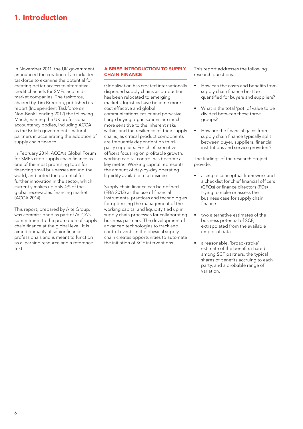### <span id="page-5-0"></span>1. Introduction

In November 2011, the UK government announced the creation of an industry taskforce to examine the potential for creating better access to alternative credit channels for SMEs and midmarket companies. The taskforce, chaired by Tim Breedon, published its report (Independent Taskforce on Non-Bank Lending 2012) the following March, naming the UK professional accountancy bodies, including ACCA, as the British government's natural partners in accelerating the adoption of supply chain finance.

In February 2014, ACCA's Global Forum for SMEs cited supply chain finance as one of the most promising tools for financing small businesses around the world, and noted the potential for further innovation in the sector, which currently makes up only 4% of the global receivables financing market (ACCA 2014).

This report, prepared by Aite Group, was commissioned as part of ACCA's commitment to the promotion of supply chain finance at the global level. It is aimed primarily at senior finance professionals and is meant to function as a learning resource and a reference text.

#### A BRIEF INTRODUCTION TO SUPPLY CHAIN FINANCE

Globalisation has created internationally dispersed supply chains as production has been relocated to emerging markets, logistics have become more cost effective and global communications easier and pervasive. Large buying organisations are much more sensitive to the inherent risks within, and the resilience of, their supply chains, as critical product components are frequently dependent on thirdparty suppliers. For chief executive officers focusing on profitable growth, working capital control has become a key metric. Working capital represents the amount of day-by-day operating liquidity available to a business.

Supply chain finance can be defined (EBA 2013) as the use of financial instruments, practices and technologies for optimising the management of the working capital and liquidity tied up in supply chain processes for collaborating business partners. The development of advanced technologies to track and control events in the physical supply chain creates opportunities to automate the initiation of SCF interventions.

This report addresses the following research questions.

- How can the costs and benefits from supply chain finance best be quantified for buyers and suppliers?
- What is the total 'pot' of value to be divided between these three groups?
- How are the financial gains from supply chain finance typically split between buyer, suppliers, financial institutions and service providers?

The findings of the research project provide:

- a simple conceptual framework and a checklist for chief financial officers (CFOs) or finance directors (FDs) trying to make or assess the business case for supply chain finance
- • two alternative estimates of the business potential of SCF, extrapolated from the available empirical data
- a reasonable, 'broad-stroke' estimate of the benefits shared among SCF partners, the typical shares of benefits accruing to each party, and a probable range of variation.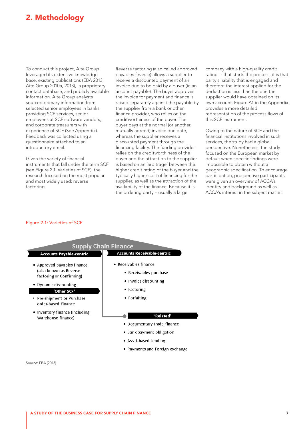### <span id="page-6-0"></span>2. Methodology

To conduct this project, Aite Group leveraged its extensive knowledge base, existing publications (EBA 2013; Aite Group 2010a, 2013), a proprietary contact database, and publicly available information. Aite Group analysts sourced primary information from selected senior employees in banks providing SCF services, senior employees at SCF software vendors, and corporate treasurers with experience of SCF (See Appendix). Feedback was collected using a questionnaire attached to an introductory email.

Given the variety of financial instruments that fall under the term SCF (see [Figure 2.1: Varieties of SCF\)](#page-6-1), the research focused on the most popular and most widely used: reverse factoring.

Reverse factoring (also called approved payables finance) allows a supplier to receive a discounted payment of an invoice due to be paid by a buyer (ie an account payable). The buyer approves the invoice for payment and finance is raised separately against the payable by the supplier from a bank or other finance provider, who relies on the creditworthiness of the buyer. The buyer pays at the normal (or another, mutually agreed) invoice due date, whereas the supplier receives a discounted payment through the financing facility. The funding provider relies on the creditworthiness of the buyer and the attraction to the supplier is based on an 'arbitrage' between the higher credit rating of the buyer and the typically higher cost of financing for the supplier, as well as the attraction of the availability of the finance. Because it is the ordering party – usually a large

company with a high-quality credit rating – that starts the process, it is that party's liability that is engaged and therefore the interest applied for the deduction is less than the one the supplier would have obtained on its own account. Figure A1 in the Appendix provides a more detailed representation of the process flows of this SCF instrument.

Owing to the nature of SCF and the financial institutions involved in such services, the study had a global perspective. Nonetheless, the study focused on the European market by default when specific findings were impossible to obtain without a geographic specification. To encourage participation, prospective participants were given an overview of ACCA's identity and background as well as ACCA's interest in the subject matter.

#### <span id="page-6-1"></span>Figure 2.1: Varieties of SCF



Source: EBA (2013)

A STUDY OF THE BUSINESS CASE FOR SUPPLY CHAIN FINANCE 7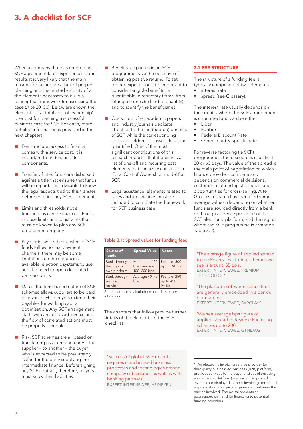### <span id="page-7-0"></span>3. A checklist for SCF

When a company that has entered an SCF agreement later experiences poor results it is very likely that the main reasons for failure are a lack of proper planning and the limited visibility of all the elements necessary to build a conceptual framework for assessing the case (Aite 2010b). Below are shown the elements of a 'total cost of ownership' checklist for planning a successful business case for SCF. For each, more detailed information is provided in the next chapters.

- Fee structure: access to finance comes with a service cost. It is important to understand its components.
- Transfer of title: funds are disbursed against a title that ensures that funds will be repaid. It is advisable to know the legal aspects tied to this transfer before entering any SCF agreement.
- **Limits and thresholds: not all** transactions can be financed. Banks impose limits and constraints that must be known to plan any SCF programme properly.
- Payments: while the transfers of SCF funds follow normal payment channels, there may be some limitations on the currencies available, electronic systems to use, and the need to open dedicated bank accounts.
- Dates: the time-based nature of SCF schemes allows suppliers to be paid in advance while buyers extend their payables for working capital optimisation. Any SCF arrangement starts with an approved invoice and the flow of correlated actions must be properly scheduled.
- Risk: SCF schemes are all based on transferring risk from one party – the supplier – to another – the buyer, who is expected to be presumably 'safer' for the party supplying the intermediate finance. Before signing any SCF contract, therefore, players must know their liabilities.
- Benefits: all parties in an SCF programme have the objective of obtaining positive returns. To set proper expectations it is important to consider tangible benefits (ie quantifiable in monetary terms) from intangible ones (ie hard to quantify), and to identify the beneficiaries.
- Costs: too often academic papers and industry journals dedicate attention to the (undoubted) benefits of SCF, while the corresponding costs are seldom discussed, let alone quantified. One of the most significant contributions of this research report is that it presents a list of one-off and recurring cost elements that can justly constitute a 'Total Cost of Ownership' model for SCF.
- Legal assistance: elements related to taxes and jurisdictions must be included to complete the framework for SCF business case.

#### <span id="page-7-1"></span>Table 3.1: Spread values for funding fees

| Source of<br>funds                                  | <b>Spread Value</b>                          | <b>Notes</b>                        |
|-----------------------------------------------------|----------------------------------------------|-------------------------------------|
| <b>Bank directly</b><br>through its<br>own platform | Minimum of 20<br>bps; average<br>100-200 bps | Peaks of 500<br>bps in Africa       |
| Bank through<br>service<br>provider                 | Average 40-70<br>bps                         | Peaks of 250<br>up to 450<br>(Asia) |

Source: author's calculations based on expert interviews

The chapters that follow provide further details of the elements of the SCF 'checklist'.

#### 3.1 FEE STRUCTURE

The structure of a funding fee is typically composed of two elements:

- interest rate
- spread (see Glossary).

The interest rate usually depends on the country where the SCF arrangement is structured and can be either:

- • Libor
- • Euribor
- **Federal Discount Rate**
- Other country-specific rate.

For reverse factoring (ie SCF) programmes, the discount is usually at 30 or 60 days. The value of the spread is the main point of negotiation on which finance providers compete and depends on commercial decisions, customer relationship strategies, and opportunities for cross-selling. Aite Group's research has identified some average values, depending on whether funds are sourced directly from a bank or through a service provider<sup>1</sup> of the SCF electronic platform, and the region where the SCF programme is arranged [Table 3.1](#page-7-1)<sup>1</sup> ).

'The average figure of applied spread to the Reverse Factoring schemes we see is around 65 bps'. EXPERT INTERVIEWEE, PREMIUM **TECHNOLOGY** 

#### 'The platform software licence fees are generally embedded in a bank's risk margin'. EXPERT INTERVIEWEE, BARCLAYS

'We see average bps figure of applied spread to Reverse Factoring schemes up to 200'. EXPERT INTERVIEWEE, GTNEXUS

'Success of global SCF rollouts requires standardised business processes and technologies among company subsidiaries as well as with banking partners'. EXPERT INTERVIEWEE, HEINEKEN

<sup>1.</sup> An electronic invoicing service provider (or third-party business-to-business (B2B) platform) provides services to the buyer and suppliers using an electronic platform (ie a portal). Approved invoices are displayed in the e-invoicing portal and appropriate messages are generated between the parties involved. The portal presents an aggregated demand for financing to potential funding providers.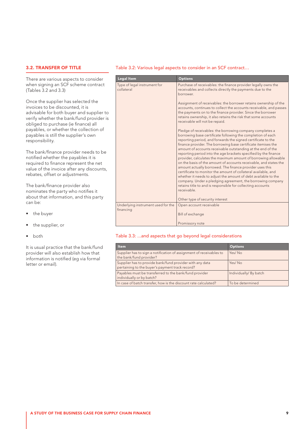#### 3.2. TRANSFER OF TITLE

There are various aspects to consider when signing an SCF scheme contract (Tables 3.2 and 3.3)

Once the supplier has selected the invoices to be discounted, it is advisable for both buyer and supplier to verify whether the bank/fund provider is obliged to purchase (ie finance) all payables, or whether the collection of payables is still the supplier's own responsibility.

The bank/finance provider needs to be notified whether the payables it is required to finance represent the net value of the invoice after any discounts, rebates, offset or adjustments.

The bank/finance provider also nominates the party who notifies it about that information, and this party can be:

- the buyer
- the supplier, or
- **both**

It is usual practice that the bank/fund provider will also establish how that information is notified (eg via formal letter or email).

#### <span id="page-8-0"></span>Table 3.2: Various legal aspects to consider in an SCF contract…

| <b>Legal Item</b>                               | <b>Options</b>                                                                                                                                                                                                                                                                                                                                                                                                                                                                                                                                                                                                                                                                                                                                                                                                                                                               |
|-------------------------------------------------|------------------------------------------------------------------------------------------------------------------------------------------------------------------------------------------------------------------------------------------------------------------------------------------------------------------------------------------------------------------------------------------------------------------------------------------------------------------------------------------------------------------------------------------------------------------------------------------------------------------------------------------------------------------------------------------------------------------------------------------------------------------------------------------------------------------------------------------------------------------------------|
| Type of legal instrument for<br>collateral      | Purchase of receivables: the finance provider legally owns the<br>receivables and collects directly the payments due to the<br>borrower.                                                                                                                                                                                                                                                                                                                                                                                                                                                                                                                                                                                                                                                                                                                                     |
|                                                 | Assignment of receivables: the borrower retains ownership of the<br>accounts, continues to collect the accounts receivable, and passes<br>the payments on to the finance provider. Since the borrower<br>retains ownership, it also retains the risk that some accounts<br>receivable will not be repaid.                                                                                                                                                                                                                                                                                                                                                                                                                                                                                                                                                                    |
|                                                 | Pledge of receivables: the borrowing company completes a<br>borrowing base certificate following the completion of each<br>reporting period, and forwards the signed certificate to the<br>finance provider. The borrowing base certificate itemises the<br>amount of accounts receivable outstanding at the end of the<br>reporting period into the age brackets specified by the finance<br>provider, calculates the maximum amount of borrowing allowable<br>on the basis of the amount of accounts receivable, and states the<br>amount actually borrowed. The finance provider uses this<br>certificate to monitor the amount of collateral available, and<br>whether it needs to adjust the amount of debt available to the<br>company. Under a pledging agreement, the borrowing company<br>retains title to and is responsible for collecting accounts<br>receivable |
|                                                 | Other type of security interest                                                                                                                                                                                                                                                                                                                                                                                                                                                                                                                                                                                                                                                                                                                                                                                                                                              |
| Underlying instrument used for the<br>financing | Open account receivable                                                                                                                                                                                                                                                                                                                                                                                                                                                                                                                                                                                                                                                                                                                                                                                                                                                      |
|                                                 | Bill of exchange                                                                                                                                                                                                                                                                                                                                                                                                                                                                                                                                                                                                                                                                                                                                                                                                                                                             |
|                                                 | Promissory note                                                                                                                                                                                                                                                                                                                                                                                                                                                                                                                                                                                                                                                                                                                                                                                                                                                              |

#### Table 3.3: ...and aspects that go beyond legal considerations

| <b>Item</b>                                                                                                 | <b>Options</b>         |
|-------------------------------------------------------------------------------------------------------------|------------------------|
| Supplier has to sign a notification of assignment of receivables to<br>the bank/fund provider?              | Yes/No                 |
| Supplier has to provide bank/fund provider with any data<br>pertaining to the buyer's payment track record? | Yes/No                 |
| Payables must be transferred to the bank/fund provider<br>individually or by batch?                         | Individually/ By batch |
| In case of batch transfer, how is the discount rate calculated?                                             | To be determined       |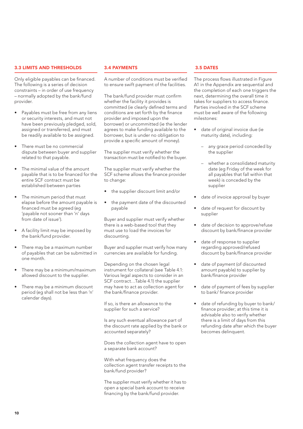#### 3.3 LIMITS AND THRESHOLDS

Only eligible payables can be financed. The following is a series of decision constraints – in order of use frequency – normally adopted by the bank/fund provider.

- Payables must be free from any liens or security interests, and must not have been previously pledged, sold, assigned or transferred, and must be readily available to be assigned.
- There must be no commercial dispute between buyer and supplier related to that payable.
- The minimal value of the amount payable that is to be financed for the entire SCF contract must be established between parties
- The minimum period that must elapse before the amount payable is financed must be agreed (eg 'payable not sooner than 'n' days from date of issue').
- A facility limit may be imposed by the bank/fund provider.
- There may be a maximum number of payables that can be submitted in one month.
- There may be a minimum/maximum allowed discount to the supplier.
- There may be a minimum discount period (eg shall not be less than 'n' calendar days).

#### 3.4 PAYMENTS

A number of conditions must be verified to ensure swift payment of the facilities.

The bank/fund provider must confirm whether the facility it provides is committed (ie clearly defined terms and conditions are set forth by the finance provider and imposed upon the borrower) or uncommitted (ie the lender agrees to make funding available to the borrower, but is under no obligation to provide a specific amount of money).

The supplier must verify whether the transaction must be notified to the buyer.

The supplier must verify whether the SCF scheme allows the finance provider to change:

- the supplier discount limit and/or
- the payment date of the discounted payable

Buyer and supplier must verify whether there is a web-based tool that they must use to load the invoices for discounting.

Buyer and supplier must verify how many currencies are available for funding.

Depending on the chosen legal instrument for collateral (see [Table 4.1:](#page-8-0)  [Various legal aspects to consider in an](#page-8-0)  [SCF contract…](#page-8-0)Table 4.1) the supplier may have to act as collection agent for the bank/finance provider.

If so, is there an allowance to the supplier for such a service?

Is any such eventual allowance part of the discount rate applied by the bank or accounted separately?

Does the collection agent have to open a separate bank account?

With what frequency does the collection agent transfer receipts to the bank/fund provider?

The supplier must verify whether it has to open a special bank account to receive financing by the bank/fund provider.

#### 3.5 DATES

The process flows illustrated in Figure A1 in the Appendix are sequential and the completion of each one triggers the next, determining the overall time it takes for suppliers to access finance. Parties involved in the SCF scheme must be well aware of the following milestones:

- date of original invoice due (ie maturity date), including:
	- any grace period conceded by the supplier
	- whether a consolidated maturity date (eg Friday of the week for all payables that fall within that week) is conceded by the supplier
- date of invoice approval by buyer
- date of request for discount by supplier
- date of decision to approve/refuse discount by bank/finance provider
- date of response to supplier regarding approved/refused discount by bank/finance provider
- date of payment (of discounted amount payable) to supplier by bank/finance provider
- date of payment of fees by supplier to bank/ finance provider
- date of refunding by buyer to bank/ finance provider; at this time it is advisable also to verify whether there is a limit of days from this refunding date after which the buyer becomes delinquent.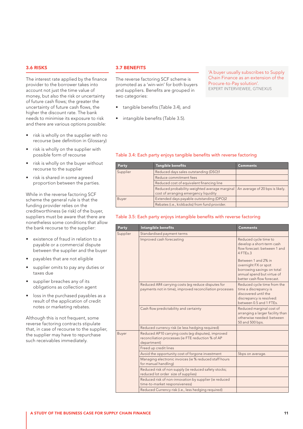#### 3.6 RISKS

The interest rate applied by the finance provider to the borrower takes into account not just the time value of money, but also the risk or uncertainty of future cash flows; the greater the uncertainty of future cash flows, the higher the discount rate. The bank needs to minimise its exposure to risk and there are various options possible:

- risk is wholly on the supplier with no recourse (see definition in Glossary)
- risk is wholly on the supplier with possible form of recourse
- risk is wholly on the buyer without recourse to the supplier
- risk is shared in some agreed proportion between the parties.

While in the reverse factoring SCF scheme the general rule is that the funding provider relies on the creditworthiness (ie risk) of the buyer, suppliers must be aware that there are nonetheless some conditions that allow the bank recourse to the supplier:

- existence of fraud in relation to a payable or a commercial dispute between the supplier and the buyer
- payables that are not eligible
- supplier omits to pay any duties or taxes due
- supplier breaches any of its obligations as collection agent
- loss in the purchased payables as a result of the application of credit notes or marketing rebates.

Although this is not frequent, some reverse factoring contracts stipulate that, in case of recourse to the supplier, the supplier may have to repurchase such receivables immediately.

#### 3.7 BENEFITS

The reverse factoring SCF scheme is promoted as a 'win-win' for both buyers and suppliers. Benefits are grouped in two categories:

- tangible benefits (Table 3.4), and
- intangible benefits (Table 3.5).

'A buyer usually subscribes to Supply Chain Finance as an extension of the Procure-to-Pay solution'. EXPERT INTERVIEWEE, GTNEXUS

#### Table 3.4: Each party enjoys tangible benefits with reverse factoring

| Party    | <b>Tangible benefits</b>                                                               | Comments                        |
|----------|----------------------------------------------------------------------------------------|---------------------------------|
| Supplier | Reduced days sales outstanding (DSO)1                                                  |                                 |
|          |                                                                                        |                                 |
|          |                                                                                        |                                 |
|          | Reduced probability-weighted average marginal<br>cost of arranging emergency liquidity | An average of 20 bps is likely. |
| Buyer    | Extended days payable outstanding (DPO)2                                               |                                 |
|          | Rebates (i.e., kickbacks) from fund provider.                                          |                                 |

#### Table 3.5: Each party enjoys intangible benefits with reverse factoring

| Party    | <b>Intangible benefits</b>                                                                                               | <b>Comments</b>                                                                                                                       |
|----------|--------------------------------------------------------------------------------------------------------------------------|---------------------------------------------------------------------------------------------------------------------------------------|
| Supplier | Standardised payment terms                                                                                               |                                                                                                                                       |
|          | Improved cash forecasting                                                                                                | Reduced cycle time to<br>develop a short-term cash<br>flow forecast: between 1 and<br>$4$ FTFs $3$                                    |
|          |                                                                                                                          | Between 1 and 2% in<br>overnight FX or spot<br>borrowing savings on total<br>annual spend but virtue of<br>better cash flow forecast. |
|          | Reduced AR4 carrying costs (eg reduce disputes for<br>payments not in time), improved reconciliation processes           | Reduced cycle time from the<br>time a discrepancy is<br>discovered until the<br>discrepancy is resolved:<br>between 0.5 and 1 FTEs.   |
|          | Cash flow predictability and certainty                                                                                   | Reduced marginal cost of<br>arranging a larger facility than<br>otherwise needed: between<br>50 and 500 bps.                          |
|          | Reduced currency risk (ie less hedging required)                                                                         |                                                                                                                                       |
| Buyer    | Reduced AP10 carrying costs (eg disputes), improved<br>reconciliation processes (ie FTE reduction % of AP<br>department) |                                                                                                                                       |
|          | Freed up credit lines                                                                                                    |                                                                                                                                       |
|          | Avoid the opportunity cost of forgone investment                                                                         | 5bps on average.                                                                                                                      |
|          | Managing electronic invoices (ie % reduced staff hours<br>for manual handling)                                           |                                                                                                                                       |
|          | Reduced risk of non supply (ie reduced safety stocks;<br>reduced lot order size of supplies)                             |                                                                                                                                       |
|          | Reduced risk of non-innovation by supplier (ie reduced<br>time-to-market responsiveness)                                 |                                                                                                                                       |
|          | Reduced Currency risk (i.e., less hedging required)                                                                      |                                                                                                                                       |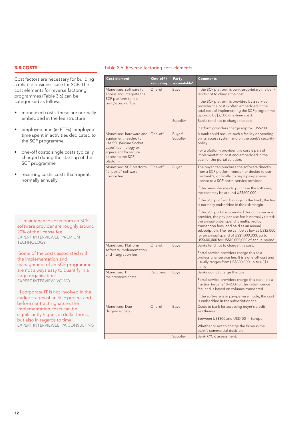#### 3.8 COSTS

Cost factors are necessary for building a reliable business case for SCF. The cost elements for reverse factoring programmes (Table 3.6) can be categorised as follows:

- monetised costs: these are normally embedded in the fee structure
- • employee time (ie FTEs): employee time spent in activities dedicated to the SCF programme
- one-off costs: single costs typically charged during the start-up of the SCF programme
- recurring costs: costs that repeat, normally annually.

'IT maintenance costs from an SCF software provider are roughly around 20% of the license fee'. EXPERT INTERVIEWEE, PREMIUM TECHNOLOGY

'Some of the costs associated with the implementation and management of an SCF programme are not always easy to quantify in a large organisation'. EXPERT INTERVIEW, VOLVO

'If corporate IT is not involved in the earlier stages of an SCF project and before contract signature, the implementation costs can be significantly higher, in dollar terms, but also in regards to time'. EXPERT INTERVIEWEE, PA CONSULTING

#### Table 3.6: Reverse factoring cost elements

| <b>Cost element</b>                                                            | One-off /<br>recurring | Party<br>accountable* | <b>Comments</b>                                                                                                                                                                                                                                                                                                                                  |
|--------------------------------------------------------------------------------|------------------------|-----------------------|--------------------------------------------------------------------------------------------------------------------------------------------------------------------------------------------------------------------------------------------------------------------------------------------------------------------------------------------------|
| Monetised: software to<br>access and integrate the                             | One-off                | Buyer                 | If the SCF platform is bank-proprietary the bank<br>tends not to charge the cost.                                                                                                                                                                                                                                                                |
| SCF platform to the<br>party's back office                                     |                        |                       | If the SCF platform is provided by a service<br>provider the cost is often embedded in the<br>total cost of implementing the SCF programme<br>(approx. US\$2,500 one-time cost).                                                                                                                                                                 |
|                                                                                |                        | Supplier              | Banks tend not to charge the cost.                                                                                                                                                                                                                                                                                                               |
|                                                                                |                        |                       | Platform providers charge approx. US\$200.                                                                                                                                                                                                                                                                                                       |
| Monetised: hardware and<br>equipment needed to<br>use SSL (Secure Socket       | One-off                | Buyer/<br>Supplier    | A bank could require such a facility depending<br>on its access system and on the bank's security<br>policy.                                                                                                                                                                                                                                     |
| Layer) technology or<br>equivalent for secure<br>access to the SCF<br>platform |                        |                       | For a platform provider this cost is part of<br>implementation cost and embedded in the<br>cost for the portal solution.                                                                                                                                                                                                                         |
| Monetised: SCF platform<br>(ie, portal) software<br>licence fee                | One-off                | Buyer                 | The buyer can purchase the software directly<br>from a SCF platform vendor, or decide to use<br>the bank's, or, finally, to pay a pay-per-use<br>licence to a SCF portal service provider.                                                                                                                                                       |
|                                                                                |                        |                       | If the buyer decides to purchase the software,<br>the cost may be around US\$600,000.                                                                                                                                                                                                                                                            |
|                                                                                |                        |                       | If the SCF platform belongs to the bank, the fee<br>is normally embedded in the risk margin.                                                                                                                                                                                                                                                     |
|                                                                                |                        |                       | If the SCF portal is operated through a service<br>provider, the pay-per-use fee is normally tiered:<br>the annual order spend is multiplied by<br>transaction fees, and paid as an annual<br>subscription. The fee can be as low as US\$2,000<br>for an annual spend of US\$1,000,000, up to<br>US\$600,000 for US\$10,000,000 of annual spend. |
| Monetised: Platform                                                            | One-off                | Buyer                 | Banks tend not to charge this cost.                                                                                                                                                                                                                                                                                                              |
| software Implementation<br>and integration fee                                 |                        |                       | Portal service providers charge this as a<br>professional service fee. It is a one-off cost and<br>usually ranges from US\$300,000 up to US\$1<br>million.                                                                                                                                                                                       |
| Monetised: IT                                                                  | Recurring              | Buyer                 | Banks do not charge this cost.                                                                                                                                                                                                                                                                                                                   |
| maintenance costs                                                              |                        |                       | Portal service providers charge this cost. It is a<br>fraction (usually 18-20%) of the initial licence<br>fee, and is based on volumes transacted.                                                                                                                                                                                               |
|                                                                                |                        |                       | If the software is in pay-per-use mode, the cost<br>is embedded in the subscription fee.                                                                                                                                                                                                                                                         |
| Monetised: Due<br>diligence costs                                              | One-off                | <b>Buyer</b>          | Costs to bank for assessing buyer's credit<br>worthiness.                                                                                                                                                                                                                                                                                        |
|                                                                                |                        |                       | Between US\$300 and US\$400 in Europe                                                                                                                                                                                                                                                                                                            |
|                                                                                |                        |                       | Whether or not to charge the buyer is the                                                                                                                                                                                                                                                                                                        |
|                                                                                |                        | Supplier              | bank's commercial decision<br>Bank KYC 6 assessment.                                                                                                                                                                                                                                                                                             |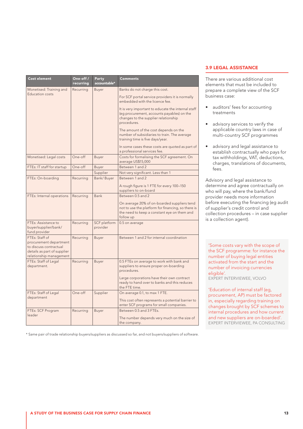| <b>Cost element</b>                                                                                                          | One-off /<br>recurring | Party<br>accountable*    | <b>Comments</b>                                                                                                                                               |
|------------------------------------------------------------------------------------------------------------------------------|------------------------|--------------------------|---------------------------------------------------------------------------------------------------------------------------------------------------------------|
| Monetised: Training and                                                                                                      | Recurring              | Buyer                    | Banks do not charge this cost.                                                                                                                                |
| <b>Education costs</b>                                                                                                       |                        |                          | For SCF portal service providers it is normally<br>embedded with the licence fee.                                                                             |
|                                                                                                                              |                        |                          | It is very important to educate the internal staff<br>(eg procurement, accounts payables) on the<br>changes to the supplier relationship<br>procedures.       |
|                                                                                                                              |                        |                          | The amount of the cost depends on the<br>number of subsidiaries to train. The average<br>training time is five days/year.                                     |
|                                                                                                                              |                        |                          | In some cases these costs are quoted as part of<br>a professional services fee.                                                                               |
| Monetised: Legal costs                                                                                                       | One-off                | Buyer                    | Costs for formalising the SCF agreement. On<br>average US\$15,000                                                                                             |
| FTEs: IT staff for startup                                                                                                   | One-off                | Buyer                    | Between 1 and 2                                                                                                                                               |
|                                                                                                                              |                        | Supplier                 | Not very significant. Less than 1                                                                                                                             |
| FTEs: On-boarding                                                                                                            | Recurring              | Bank/Buyer               | Between 1 and 2                                                                                                                                               |
|                                                                                                                              |                        |                          | A rough figure is 1 FTE for every 100-150<br>suppliers to on-board                                                                                            |
| FTEs: Internal operations                                                                                                    | Recurring              | <b>Bank</b>              | Between 0.5 and 2                                                                                                                                             |
|                                                                                                                              |                        |                          | On average 20% of on-boarded suppliers tend<br>not to use the platform for financing, so there is<br>the need to keep a constant eye on them and<br>follow up |
| FTEs: Assistance to<br>buyer/supplier/bank/<br>fund provider                                                                 | Recurring              | SCF platform<br>provider | 0.5 on average                                                                                                                                                |
| FTEs: Staff of<br>procurement department<br>to discuss contractual<br>details as part of supplier<br>relationship management | Recurring              | Buyer                    | Between 1 and 2 for internal coordination                                                                                                                     |
| FTEs: Staff of Legal<br>department.                                                                                          | Recurring              | Buyer                    | 0.5 FTEs on average to work with bank and<br>suppliers to ensure proper on-boarding<br>procedures.                                                            |
|                                                                                                                              |                        |                          | Large corporations have their own contract<br>ready to hand over to banks and this reduces<br>the FTE time.                                                   |
| FTEs: Staff of Legal                                                                                                         | One-off                | Supplier                 | On average 0.1, to max 1 FTE.                                                                                                                                 |
| department                                                                                                                   |                        |                          | This cost often represents a potential barrier to<br>enter SCF programs for small companies.                                                                  |
| FTEs: SCF Program                                                                                                            | Recurring              | Buyer                    | Between 0.5 and 3 FTEs.                                                                                                                                       |
| leader                                                                                                                       |                        |                          | The number depends very much on the size of<br>the company.                                                                                                   |

\* Same pair of trade relationship buyers/suppliers as discussed so far, and not buyers/suppliers of software.

#### 3.9 LEGAL ASSISTANCE

There are various additional cost elements that must be included to prepare a complete view of the SCF business case:

- auditors' fees for accounting treatments
- advisory services to verify the applicable country laws in case of multi-country SCF programmes
- advisory and legal assistance to establish contractually who pays for tax withholdings, VAT, deductions, charges, translations of documents, fees.

Advisory and legal assistance to determine and agree contractually on who will pay, where the bank/fund provider needs more information before executing the financing (eg audit of supplier's credit control and collection procedures – in case supplier is a collection agent).

'Some costs vary with the scope of the SCF programme: for instance the number of buying legal entities activated from the start and the number of invoicing currencies eligible'. EXPERT INTERVIEWEE, VOLVO

'Education of internal staff (eg, procurement, AP) must be factored in, especially regarding training on changes brought by SCF schemes to internal procedures and how current and new suppliers are on-boarded'. EXPERT INTERVIEWEE, PA CONSULTING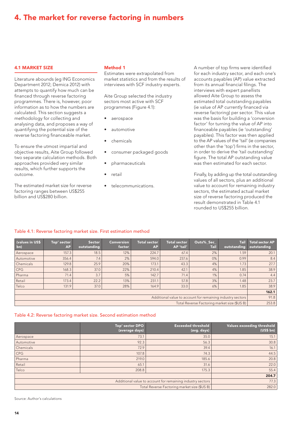### <span id="page-13-0"></span>4. The market for reverse factoring in numbers

#### 4.1 MARKET SIZE

Literature abounds (eg ING Economics Department 2012; Demica 2012) with attempts to quantify how much can be financed through reverse factoring programmes. There is, however, poor information as to how the numbers are calculated. This section suggests a methodology for collecting and analysing data, and proposes a way of quantifying the potential size of the reverse factoring financeable market.

To ensure the utmost impartial and objective results, Aite Group followed two separate calculation methods. Both approaches provided very similar results, which further supports the outcome.

The estimated market size for reverse factoring ranges between US\$255 billion and US\$280 billion.

#### Method 1

Estimates were extrapolated from market statistics and from the results of interviews with SCF industry experts.

Aite Group selected the industry sectors most active with SCF programmes (Figure 4.1):

- aerospace
- automotive
- chemicals
- consumer packaged goods
- pharmaceuticals
- retail
- telecommunications.

A number of top firms were identified for each industry sector, and each one's accounts payables (AP) value extracted from its annual financial filings. The interviews with expert panellists allowed Aite Group to assess the estimated total outstanding payables (ie value of AP currently financed via reverse factoring) per sector. This value was the basis for building a 'conversion factor' for turning the value of AP into financeable payables (ie 'outstanding' payables). This factor was then applied to the AP values of the 'tail' (ie companies other than the 'top') firms in the sector, in order to derive the 'tail outstanding' figure. The total AP outstanding value was then estimated for each sector.

Finally, by adding up the total outstanding values of all sectors, plus an additional value to account for remaining industry sectors, the estimated actual market size of reverse factoring produced the result demonstrated in Table 4.1 rounded to US\$255 billion.

#### Table 4.1: Reverse factoring market size. First estimation method

| (values in US\$<br> bn)                                    | Top' sector<br><b>AP</b> | <b>Sector</b><br>outstanding | <b>Conversion</b><br>factor | <b>Total sector</b><br><b>AP</b> | <b>Total sector</b><br>AP 'tail' | Outs% Sec<br><b>Tail</b> | <b>Tail</b><br>outstanding | Total sector AP<br>outstanding |
|------------------------------------------------------------|--------------------------|------------------------------|-----------------------------|----------------------------------|----------------------------------|--------------------------|----------------------------|--------------------------------|
| Aerospace                                                  | 157.3                    | 18.5                         | 12%                         | 224.7                            | 67.4                             | 2%                       | 1.59                       | 20.1                           |
| Automotive                                                 | 356.4                    | 7.4                          | 2%                          | 594.0                            | 237.6                            | $0\%$                    | 0.99                       | 8.4                            |
| Chemicals                                                  | 129.8                    | 25.9                         | 20%                         | 173.1                            | 43.3                             | 4%                       | 1.73                       | 27.7                           |
| CPG                                                        | 168.3                    | 37.0                         | 22%                         | 210.4                            | 42.1                             | 4%                       | 1.85                       | 38.9                           |
| Pharma                                                     | 71.4                     | 3.7                          | 5%                          | 142.7                            | 71.4                             | 1%                       | 0.74                       | 4.4                            |
| Retail                                                     | 173.4                    | 22.2                         | 13%                         | 231.1                            | 57.8                             | 3%                       | 1.48                       | 23.7                           |
| Telco                                                      | 131.9                    | 37.0                         | 28%                         | 164.9                            | 33.0                             | 6%                       | 1.85                       | 38.9                           |
|                                                            |                          |                              |                             |                                  |                                  |                          | 162.1                      |                                |
| Additional value to account for remaining industry sectors |                          |                              |                             |                                  |                                  | 91.8                     |                            |                                |
| Total Reverse Factoring market size (\$US B)               |                          |                              |                             |                                  |                                  | 253.8                    |                            |                                |

#### Table 4.2: Reverse factoring market size. Second estimation method

|                                                            | Top' sector DPO<br>(average days) | <b>Exceeded threshold</b><br>(avg. days) | Values exceeding threshold<br>(US\$ bh) |
|------------------------------------------------------------|-----------------------------------|------------------------------------------|-----------------------------------------|
| Aerospace                                                  | 73.1                              | 35.0                                     | 15.1                                    |
| Automotive                                                 | 92.3                              | 56.3                                     | 30.8                                    |
| Chemicals                                                  | 72.9                              | 39.4                                     | 16.1                                    |
| CPG                                                        | 107.8                             | 74.3                                     | 44.5                                    |
| Pharma                                                     | 219.0                             | 185.6                                    | 20.8                                    |
| Retail                                                     | 65.1                              | 31.6                                     | 22.0                                    |
| Telco                                                      | 208.8                             | 175.3                                    | 55.4                                    |
|                                                            | 204.7                             |                                          |                                         |
| Additional value to account for remaining industry sectors |                                   |                                          | 77.3                                    |
| Total Reverse Factoring market size (\$US B)               |                                   |                                          | 282.0                                   |

Source: Author's calculations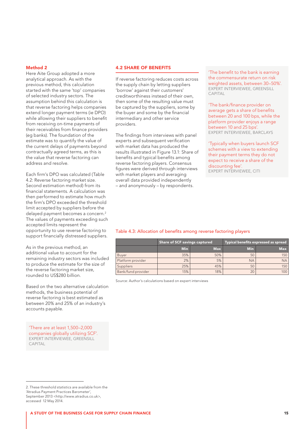#### Method 2

Here Aite Group adopted a more analytical approach. As with the previous method, this calculation started with the same 'top' companies of selected industry sectors. The assumption behind this calculation is that reverse factoring helps companies extend longer payment terms (ie DPO) while allowing their suppliers to benefit from receiving on-time payments of their receivables from finance providers (eg banks). The foundation of the estimate was to quantify the value of the current delays of payments beyond contractually agreed terms, as this is the value that reverse factoring can address and resolve.

Each firm's DPO was calculated (Table 4.2: Reverse factoring market size. Second estimation method) from its financial statements. A calculation was then performed to estimate how much the firm's DPO exceeded the threshold limit accepted by suppliers before the delayed payment becomes a concern.<sup>2</sup> The values of payments exceeding such accepted limits represent the opportunity to use reverse factoring to support financially distressed suppliers.

As in the previous method, an additional value to account for the remaining industry sectors was included to produce the estimate for the size of the reverse factoring market size, rounded to US\$280 billion.

Based on the two alternative calculation methods, the business potential of reverse factoring is best estimated as between 20% and 25% of an industry's accounts payable.

'There are at least 1,500–2,000 companies globally utilizing SCF'. EXPERT INTERVIEWEE, GREENSILL CAPITAL

#### 4.2 SHARE OF BENEFITS

If reverse factoring reduces costs across the supply chain by letting suppliers 'borrow' against their customers' creditworthiness instead of their own, then some of the resulting value must be captured by the suppliers, some by the buyer and some by the financial intermediary and other service providers.

The findings from interviews with panel experts and subsequent verification with market data has produced the results illustrated in Figure 13.1: Share of benefits and typical benefits among reverse factoring players. Consensus figures were derived through interviews with market players and averaging overall data provided independently – and anonymously – by respondents.

'The benefit to the bank is earning the commensurate return on risk weighted assets, between 30–50%'. EXPERT INTERVIEWEE, GREENSILL CAPITAL

'The bank/finance provider on average gets a share of benefits between 20 and 100 bps, while the platform provider enjoys a range between 10 and 25 bps'. EXPERT INTERVIEWEE, BARCLAYS

'Typically when buyers launch SCF schemes with a view to extending their payment terms they do not expect to receive a share of the discounting fee'. EXPERT INTERVIEWEE, CITI

#### Table 4.3: Allocation of benefits among reverse factoring players

|                    | Share of SCF savings captured |            | Typical benefits expressed as spread |            |
|--------------------|-------------------------------|------------|--------------------------------------|------------|
|                    | <b>Min</b>                    | <b>Max</b> | <b>Min</b>                           | <b>Max</b> |
| Buyer              | 35%                           | 50%        | 50                                   | 150        |
| Platform provider  | 2%                            | 5%         | <b>NA</b>                            | <b>NA</b>  |
| Suppliers          | 25%                           | 45%        | 50                                   | 150        |
| Bank/fund provider | 15%                           | 18%        | 20                                   | 100        |

Source: Author's calculations based on expert interviews

<sup>2.</sup> These threshold statistics are available from the 'Atradius Payment Practices Barometer', September 2013 <<http://www.atradius.co.uk>>, accessed 12 May 2014.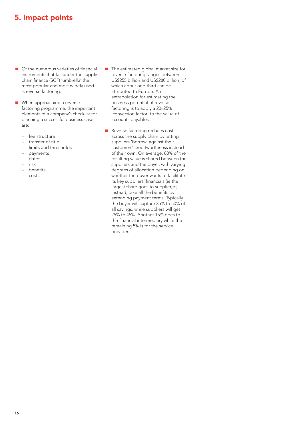### <span id="page-15-0"></span>5. Impact points

- Of the numerous varieties of financial instruments that fall under the supply chain finance (SCF) 'umbrella' the most popular and most widely used is reverse factoring.
- **Now When approaching a reverse** factoring programme, the important elements of a company's checklist for planning a successful business case are:
	- fee structure
	- transfer of title
	- limits and thresholds
	- payments
	- dates
	- risk
	- benefits
	- costs.
- $\blacksquare$  The estimated global market size for reverse factoring ranges between US\$255 billion and US\$280 billion, of which about one-third can be attributed to Europe. An extrapolation for estimating the business potential of reverse factoring is to apply a 20–25% 'conversion factor' to the value of accounts payables.
- Reverse factoring reduces costs across the supply chain by letting suppliers 'borrow' against their customers' creditworthiness instead of their own. On average, 80% of the resulting value is shared between the suppliers and the buyer, with varying degrees of allocation depending on whether the buyer wants to facilitate its key suppliers' financials (ie the largest share goes to supplier)or, instead, take all the benefits by extending payment terms. Typically, the buyer will capture 35% to 50% of all savings, while suppliers will get 25% to 45%. Another 15% goes to the financial intermediary while the remaining 5% is for the service provider.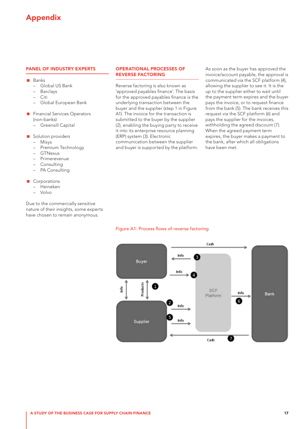### <span id="page-16-0"></span>Appendix

#### PANEL OF INDUSTRY EXPERTS

- **Banks** 
	- Global US Bank
	- **Barclays**
	- Citi
	- Global European Bank
- **Financial Services Operators** (non-banks)
	- Greensill Capital
- Solution providers
	- Misys
	- Premium Technology
	- GTNexus
	- Primerevenue
	- Consulting
	- PA Consulting

#### Corporations

- Heineken
- Volvo

Due to the commercially sensitive nature of their insights, some experts have chosen to remain anonymous.

#### OPERATIONAL PROCESSES OF REVERSE FACTORING

Reverse factoring is also known as 'approved payables finance'. The basis for the approved payables finance is the underlying transaction between the buyer and the supplier (step 1 in Figure A1). The invoice for the transaction is submitted to the buyer by the supplier (2), enabling the buying party to receive it into its enterprise resource planning (ERP) system (3). Electronic communication between the supplier and buyer is supported by the platform. As soon as the buyer has approved the invoice/account payable, the approval is communicated via the SCF platform (4), allowing the supplier to see it. It is the up to the supplier either to wait until the payment term expires and the buyer pays the invoice, or to request finance from the bank (5). The bank receives this request via the SCF platform (6) and pays the supplier for the invoices, withholding the agreed discount (7). When the agreed payment term expires, the buyer makes a payment to the bank, after which all obligations have been met.

#### Figure A1: Process flows of reverse factoring

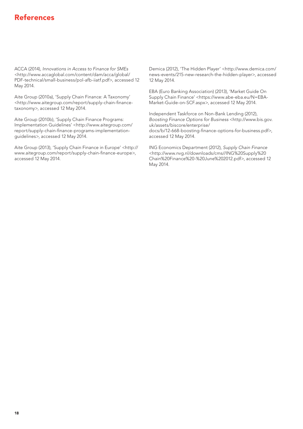### <span id="page-17-0"></span>References

ACCA (2014), Innovations in Access to Finance for SMEs <http://www.accaglobal.com/content/dam/acca/global/ PDF-technical/small-business/pol-afb-iiatf.pdf>, accessed 12 May 2014.

Aite Group (2010a), 'Supply Chain Finance: A Taxonomy' [<http://www.aitegroup.com/report/supply-chain-finance](http://www.aitegroup.com/report/supply-chain-finance-taxonomy)[taxonomy>](http://www.aitegroup.com/report/supply-chain-finance-taxonomy), accessed 12 May 2014.

Aite Group (2010b), '[Supply Chain Finance Programs:](http://www.aitegroup.com/report/supply-chain-finance-programs-implementation-guidelines)  [Implementation Guidelines](http://www.aitegroup.com/report/supply-chain-finance-programs-implementation-guidelines)' <http://www.aitegroup.com/ report/supply-chain-finance-programs-implementationguidelines>, accessed 12 May 2014.

Aite Group (2013), 'Supply Chain Finance in Europe' <[http://](http://www.aitegroup.com/report/supply-chain-finance-europe) [www.aitegroup.com/report/supply-chain-finance-europe](http://www.aitegroup.com/report/supply-chain-finance-europe)>, accessed 12 May 2014.

Demica (2012), 'The Hidden Player' <http://www.demica.com/ news-events/215-new-research-the-hidden-player>, accessed 12 May 2014.

EBA (Euro Banking Association) (2013), 'Market Guide On Supply Chain Finance' [<https://www.abe-eba.eu/N=EBA-](https://www.abe-eba.eu/N=EBA-Market-Guide-on-SCF.aspx)[Market-Guide-on-SCF.aspx](https://www.abe-eba.eu/N=EBA-Market-Guide-on-SCF.aspx)>, accessed 12 May 2014.

Independent Taskforce on Non-Bank Lending (2012), Boosting Finance Options for Business [<http://www.bis.gov.](http://www.bis.gov.uk/assets/biscore/enterprise/docs/b/12-668-boosting-finance-options-for-business.pdf) [uk/assets/biscore/enterprise/](http://www.bis.gov.uk/assets/biscore/enterprise/docs/b/12-668-boosting-finance-options-for-business.pdf) [docs/b/12-668-boosting-finance-options-for-business.pdf>](http://www.bis.gov.uk/assets/biscore/enterprise/docs/b/12-668-boosting-finance-options-for-business.pdf), accessed 12 May 2014.

ING Economics Department (2012), Supply Chain Finance <[http://www.nvg.nl/downloads/cms//ING%20Supply%20](http://www.nvg.nl/downloads/cms//ING%20Supply%20Chain%20Finance%20-%20June%202012.pdf) [Chain%20Finance%20-%20June%202012.pdf>](http://www.nvg.nl/downloads/cms//ING%20Supply%20Chain%20Finance%20-%20June%202012.pdf), accessed 12 May 2014.